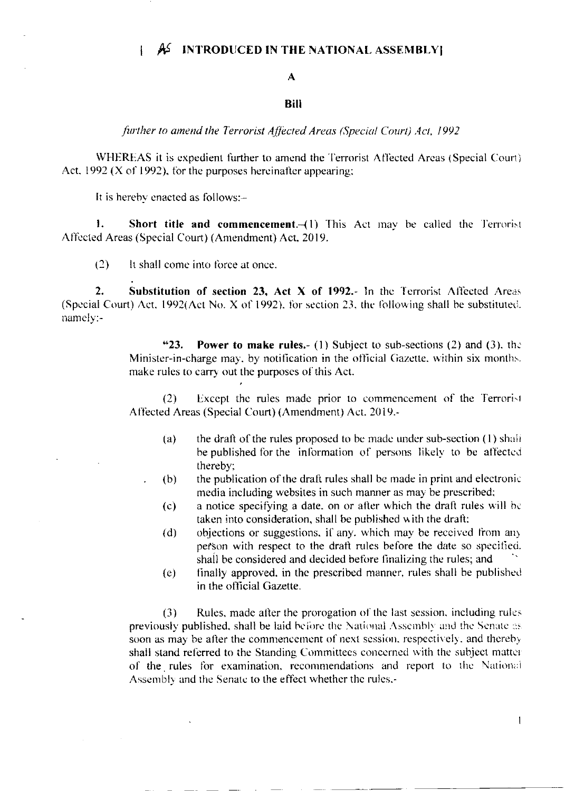## AS INTRODUCED IN THE NATIONAL ASSEMBLY  $\mathbf{I}$

## $\mathbf{A}$

## **Bill**

further to amend the Terrorist Affected Areas (Special Court) Act, 1992

WHEREAS it is expedient further to amend the Terrorist Affected Areas (Special Court) Act, 1992 (X of 1992), for the purposes hereinafter appearing;

It is hereby enacted as follows:-

1. **Short title and commencement**.  $-(1)$  This Act may be called the Terrorist Affected Areas (Special Court) (Amendment) Act, 2019.

 $(2)$ It shall come into force at once.

 $2.$ Substitution of section 23, Act X of 1992.- In the Terrorist Affected Areas (Special Court) Act, 1992(Act No. X of 1992), for section 23, the following shall be substituted. namely:-

> $"23.$ **Power to make rules.** (1) Subject to sub-sections (2) and (3), the Minister-in-charge may, by notification in the official Gazette, within six months. make rules to carry out the purposes of this Act.

> Except the rules made prior to commencement of the Terrorist  $(2)$ Affected Areas (Special Court) (Amendment) Act. 2019.-

- the draft of the rules proposed to be made under sub-section (1) shall  $(a)$ be published for the information of persons likely to be affected thereby;
- the publication of the draft rules shall be made in print and electronic  $(b)$ media including websites in such manner as may be prescribed;
	- a notice specifying a date, on or after which the draft rules will be  $(c)$ taken into consideration, shall be published with the draft;
	- objections or suggestions, if any, which may be received from any  $(d)$ person with respect to the draft rules before the date so specified. shall be considered and decided before finalizing the rules; and
	- finally approved, in the prescribed manner, rules shall be published  $(e)$ in the official Gazette.

Rules, made after the prorogation of the last session, including rules  $(3)$ previously published, shall be laid before the National Assembly and the Senate as soon as may be after the commencement of next session, respectively, and thereby shall stand referred to the Standing Committees concerned with the subject matter of the rules for examination, recommendations and report to the National Assembly and the Senate to the effect whether the rules,-

 $\mathbf{1}$